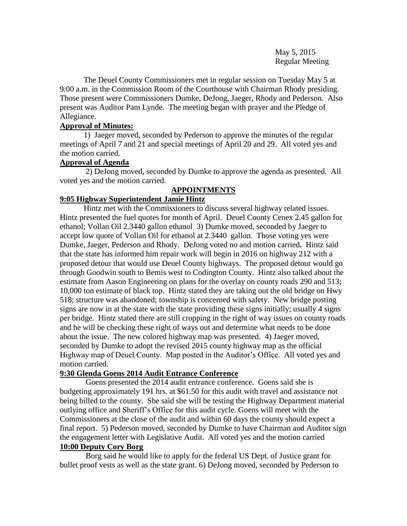May 5, 2015 Regular Meeting

The Deuel County Commissioners met in regular session on Tuesday May 5 at 9:00 a.m. in the Commission Room of the Courthouse with Chairman Rhody presiding. Those present were Commissioners Dumke, DeJong, Jaeger, Rhody and Pederson. Also present was Auditor Pam Lynde. The meeting began with prayer and the Pledge of Allegiance.

## **Approval of Minutes:**

1) Jaeger moved, seconded by Pederson to approve the minutes of the regular meetings of April 7 and 21 and special meetings of April 20 and 29. All voted yes and the motion carried.

### **Approval of Agenda**

2) DeJong moved, seconded by Dumke to approve the agenda as presented. All voted yes and the motion carried.

# **APPOINTMENTS**

# **9:05 Highway Superintendent Jamie Hintz**

Hintz met with the Commissioners to discuss several highway related issues. Hintz presented the fuel quotes for month of April. Deuel County Cenex 2.45 gallon for ethanol; Vollan Oil 2.3440 gallon ethanol 3) Dumke moved, seconded by Jaeger to accept low quote of Vollan Oil for ethanol at 2.3440 gallon. Those voting yes were Dumke, Jaeger, Pederson and Rhody. DeJong voted no and motion carried**.** Hintz said that the state has informed him repair work will begin in 2016 on highway 212 with a proposed detour that would use Deuel County highways. The proposed detour would go through Goodwin south to Bemis west to Codington County. Hintz also talked about the estimate from Aason Engineering on plans for the overlay on county roads 290 and 513; 10,000 ton estimate of black top. Hintz stated they are taking out the old bridge on Hwy 518; structure was abandoned; township is concerned with safety. New bridge posting signs are now in at the state with the state providing these signs initially; usually 4 signs per bridge. Hintz stated there are still cropping in the right of way issues on county roads and he will be checking these right of ways out and determine what needs to be done about the issue. The new colored highway map was presented. 4) Jaeger moved, seconded by Dumke to adopt the revised 2015 county highway map as the official Highway map of Deuel County. Map posted in the Auditor's Office. All voted yes and motion carried.

### **9:30 Glenda Goens 2014 Audit Entrance Conference**

Goens presented the 2014 audit entrance conference. Goens said she is budgeting approximately 191 hrs. at \$61.50 for this audit with travel and assistance not being billed to the county. She said she will be testing the Highway Department material outlying office and Sheriff's Office for this audit cycle. Goens will meet with the Commissioners at the close of the audit and within 60 days the county should expect a final report. 5) Pederson moved, seconded by Dumke to have Chairman and Auditor sign the engagement letter with Legislative Audit. All voted yes and the motion carried **10:00 Deputy Cory Borg**

Borg said he would like to apply for the federal US Dept. of Justice grant for bullet proof vests as well as the state grant. 6) DeJong moved, seconded by Pederson to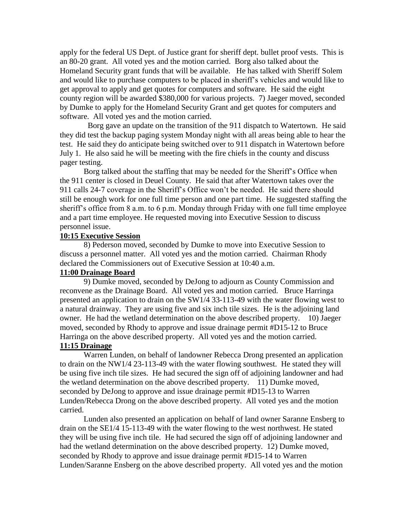apply for the federal US Dept. of Justice grant for sheriff dept. bullet proof vests. This is an 80-20 grant. All voted yes and the motion carried. Borg also talked about the Homeland Security grant funds that will be available. He has talked with Sheriff Solem and would like to purchase computers to be placed in sheriff's vehicles and would like to get approval to apply and get quotes for computers and software. He said the eight county region will be awarded \$380,000 for various projects. 7) Jaeger moved, seconded by Dumke to apply for the Homeland Security Grant and get quotes for computers and software. All voted yes and the motion carried.

Borg gave an update on the transition of the 911 dispatch to Watertown. He said they did test the backup paging system Monday night with all areas being able to hear the test. He said they do anticipate being switched over to 911 dispatch in Watertown before July 1. He also said he will be meeting with the fire chiefs in the county and discuss pager testing.

Borg talked about the staffing that may be needed for the Sheriff's Office when the 911 center is closed in Deuel County. He said that after Watertown takes over the 911 calls 24-7 coverage in the Sheriff's Office won't be needed. He said there should still be enough work for one full time person and one part time. He suggested staffing the sheriff's office from 8 a.m. to 6 p.m. Monday through Friday with one full time employee and a part time employee. He requested moving into Executive Session to discuss personnel issue.

#### **10:15 Executive Session**

8) Pederson moved, seconded by Dumke to move into Executive Session to discuss a personnel matter. All voted yes and the motion carried. Chairman Rhody declared the Commissioners out of Executive Session at 10:40 a.m.

## **11:00 Drainage Board**

9) Dumke moved, seconded by DeJong to adjourn as County Commission and reconvene as the Drainage Board. All voted yes and motion carried. Bruce Harringa presented an application to drain on the SW1/4 33-113-49 with the water flowing west to a natural drainway. They are using five and six inch tile sizes. He is the adjoining land owner. He had the wetland determination on the above described property. 10) Jaeger moved, seconded by Rhody to approve and issue drainage permit #D15-12 to Bruce Harringa on the above described property. All voted yes and the motion carried.

# **11:15 Drainage**

Warren Lunden, on behalf of landowner Rebecca Drong presented an application to drain on the NW1/4 23-113-49 with the water flowing southwest. He stated they will be using five inch tile sizes. He had secured the sign off of adjoining landowner and had the wetland determination on the above described property. 11) Dumke moved, seconded by DeJong to approve and issue drainage permit #D15-13 to Warren Lunden/Rebecca Drong on the above described property. All voted yes and the motion carried.

Lunden also presented an application on behalf of land owner Saranne Ensberg to drain on the SE1/4 15-113-49 with the water flowing to the west northwest. He stated they will be using five inch tile. He had secured the sign off of adjoining landowner and had the wetland determination on the above described property. 12) Dumke moved, seconded by Rhody to approve and issue drainage permit #D15-14 to Warren Lunden/Saranne Ensberg on the above described property. All voted yes and the motion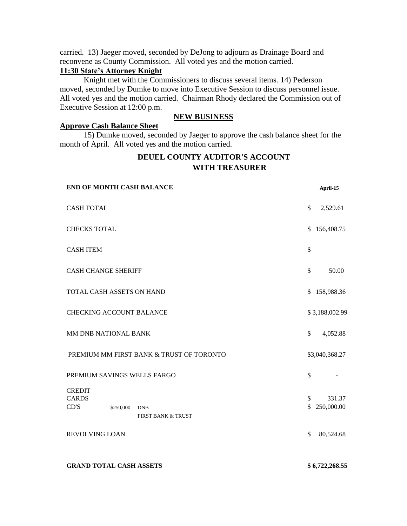carried. 13) Jaeger moved, seconded by DeJong to adjourn as Drainage Board and reconvene as County Commission. All voted yes and the motion carried.

# **11:30 State's Attorney Knight**

Knight met with the Commissioners to discuss several items. 14) Pederson moved, seconded by Dumke to move into Executive Session to discuss personnel issue. All voted yes and the motion carried. Chairman Rhody declared the Commission out of Executive Session at 12:00 p.m.

### **NEW BUSINESS**

#### **Approve Cash Balance Sheet**

15) Dumke moved, seconded by Jaeger to approve the cash balance sheet for the month of April. All voted yes and the motion carried.

# **DEUEL COUNTY AUDITOR'S ACCOUNT WITH TREASURER**

| <b>END OF MONTH CASH BALANCE</b>                                                                                    | April-15                                            |
|---------------------------------------------------------------------------------------------------------------------|-----------------------------------------------------|
| <b>CASH TOTAL</b>                                                                                                   | \$<br>2,529.61                                      |
| <b>CHECKS TOTAL</b>                                                                                                 | 156,408.75<br>\$                                    |
| <b>CASH ITEM</b>                                                                                                    | \$                                                  |
| <b>CASH CHANGE SHERIFF</b>                                                                                          | 50.00<br>\$                                         |
| TOTAL CASH ASSETS ON HAND                                                                                           | 158,988.36<br>\$                                    |
| <b>CHECKING ACCOUNT BALANCE</b>                                                                                     | \$3,188,002.99                                      |
| MM DNB NATIONAL BANK                                                                                                | $\mathbb{S}$<br>4,052.88                            |
| PREMIUM MM FIRST BANK & TRUST OF TORONTO                                                                            | \$3,040,368.27                                      |
| PREMIUM SAVINGS WELLS FARGO                                                                                         | \$                                                  |
| <b>CREDIT</b><br><b>CARDS</b><br>CD'S<br>\$250,000<br><b>DNB</b><br><b>FIRST BANK &amp; TRUST</b><br>REVOLVING LOAN | 331.37<br>\$<br>250,000.00<br>\$<br>\$<br>80,524.68 |
|                                                                                                                     |                                                     |

**GRAND TOTAL CASH ASSETS \$ 6,722,268.55**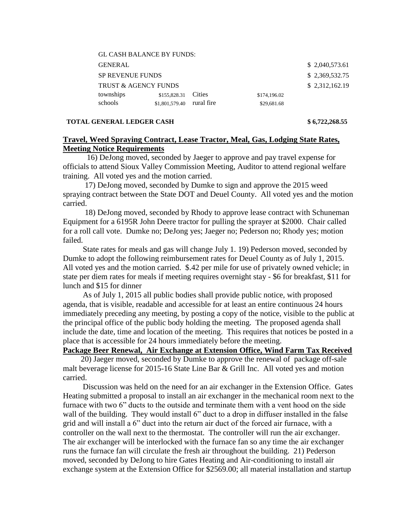|                      | <b>GL CASH BALANCE BY FUNDS:</b> |                |            |              |                |  |  |
|----------------------|----------------------------------|----------------|------------|--------------|----------------|--|--|
|                      | <b>GENERAL</b>                   |                |            |              | \$2,040,573.61 |  |  |
|                      | <b>SP REVENUE FUNDS</b>          | \$2,369,532.75 |            |              |                |  |  |
| TRUST & AGENCY FUNDS |                                  |                |            |              | \$2,312,162.19 |  |  |
|                      | townships                        | \$155,828.31   | Cities     | \$174,196.02 |                |  |  |
|                      | schools                          | \$1,801,579.40 | rural fire | \$29,681.68  |                |  |  |
|                      |                                  |                |            |              |                |  |  |

#### **TOTAL GENERAL LEDGER CASH \$ 6,722,268.55**

# **Travel, Weed Spraying Contract, Lease Tractor, Meal, Gas, Lodging State Rates, Meeting Notice Requirements**

16) DeJong moved, seconded by Jaeger to approve and pay travel expense for officials to attend Sioux Valley Commission Meeting, Auditor to attend regional welfare training. All voted yes and the motion carried.

 17) DeJong moved, seconded by Dumke to sign and approve the 2015 weed spraying contract between the State DOT and Deuel County. All voted yes and the motion carried.

 18) DeJong moved, seconded by Rhody to approve lease contract with Schuneman Equipment for a 6195R John Deere tractor for pulling the sprayer at \$2000. Chair called for a roll call vote. Dumke no; DeJong yes; Jaeger no; Pederson no; Rhody yes; motion failed.

 State rates for meals and gas will change July 1. 19) Pederson moved, seconded by Dumke to adopt the following reimbursement rates for Deuel County as of July 1, 2015. All voted yes and the motion carried. \$.42 per mile for use of privately owned vehicle; in state per diem rates for meals if meeting requires overnight stay - \$6 for breakfast, \$11 for lunch and \$15 for dinner

 As of July 1, 2015 all public bodies shall provide public notice, with proposed agenda, that is visible, readable and accessible for at least an entire continuous 24 hours immediately preceding any meeting, by posting a copy of the notice, visible to the public at the principal office of the public body holding the meeting. The proposed agenda shall include the date, time and location of the meeting. This requires that notices be posted in a place that is accessible for 24 hours immediately before the meeting.

# **Package Beer Renewal, Air Exchange at Extension Office, Wind Farm Tax Received**

 20) Jaeger moved, seconded by Dumke to approve the renewal of package off-sale malt beverage license for 2015-16 State Line Bar & Grill Inc. All voted yes and motion carried.

 Discussion was held on the need for an air exchanger in the Extension Office. Gates Heating submitted a proposal to install an air exchanger in the mechanical room next to the furnace with two 6" ducts to the outside and terminate them with a vent hood on the side wall of the building. They would install 6" duct to a drop in diffuser installed in the false grid and will install a 6" duct into the return air duct of the forced air furnace, with a controller on the wall next to the thermostat. The controller will run the air exchanger. The air exchanger will be interlocked with the furnace fan so any time the air exchanger runs the furnace fan will circulate the fresh air throughout the building. 21) Pederson moved, seconded by DeJong to hire Gates Heating and Air-conditioning to install air exchange system at the Extension Office for \$2569.00; all material installation and startup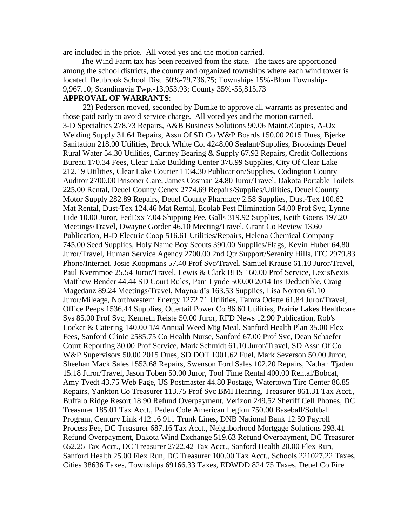are included in the price. All voted yes and the motion carried.

 The Wind Farm tax has been received from the state. The taxes are apportioned among the school districts, the county and organized townships where each wind tower is located. Deubrook School Dist. 50%-79,736.75; Townships 15%-Blom Township-9,967.10; Scandinavia Twp.-13,953.93; County 35%-55,815.73

# **APPROVAL OF WARRANTS**:

 22) Pederson moved, seconded by Dumke to approve all warrants as presented and those paid early to avoid service charge. All voted yes and the motion carried. 3-D Specialties 278.73 Repairs, A&B Business Solutions 90.06 Maint./Copies, A-Ox Welding Supply 31.64 Repairs, Assn Of SD Co W&P Boards 150.00 2015 Dues, Bjerke Sanitation 218.00 Utilities, Brock White Co. 4248.00 Sealant/Supplies, Brookings Deuel Rural Water 54.30 Utilities, Cartney Bearing & Supply 67.92 Repairs, Credit Collections Bureau 170.34 Fees, Clear Lake Building Center 376.99 Supplies, City Of Clear Lake 212.19 Utilities, Clear Lake Courier 1134.30 Publication/Supplies, Codington County Auditor 2700.00 Prisoner Care, James Cosman 24.80 Juror/Travel, Dakota Portable Toilets 225.00 Rental, Deuel County Cenex 2774.69 Repairs/Supplies/Utilities, Deuel County Motor Supply 282.89 Repairs, Deuel County Pharmacy 2.58 Supplies, Dust-Tex 100.62 Mat Rental, Dust-Tex 124.46 Mat Rental, Ecolab Pest Elimination 54.00 Prof Svc, Lynne Eide 10.00 Juror, FedExx 7.04 Shipping Fee, Galls 319.92 Supplies, Keith Goens 197.20 Meetings/Travel, Dwayne Gorder 46.10 Meeting/Travel, Grant Co Review 13.60 Publication, H-D Electric Coop 516.61 Utilities/Repairs, Helena Chemical Company 745.00 Seed Supplies, Holy Name Boy Scouts 390.00 Supplies/Flags, Kevin Huber 64.80 Juror/Travel, Human Service Agency 2700.00 2nd Qtr Support/Serenity Hills, ITC 2979.83 Phone/Internet, Josie Koopmans 57.40 Prof Svc/Travel, Samuel Krause 61.10 Juror/Travel, Paul Kvernmoe 25.54 Juror/Travel, Lewis & Clark BHS 160.00 Prof Service, LexisNexis Matthew Bender 44.44 SD Court Rules, Pam Lynde 500.00 2014 Ins Deductible, Craig Magedanz 89.24 Meetings/Travel, Maynard's 163.53 Supplies, Lisa Norton 61.10 Juror/Mileage, Northwestern Energy 1272.71 Utilities, Tamra Odette 61.84 Juror/Travel, Office Peeps 1536.44 Supplies, Ottertail Power Co 86.60 Utilities, Prairie Lakes Healthcare Sys 85.00 Prof Svc, Kenneth Reiste 50.00 Juror, RFD News 12.90 Publication, Rob's Locker & Catering 140.00 1/4 Annual Weed Mtg Meal, Sanford Health Plan 35.00 Flex Fees, Sanford Clinic 2585.75 Co Health Nurse, Sanford 67.00 Prof Svc, Dean Schaefer Court Reporting 30.00 Prof Service, Mark Schmidt 61.10 Juror/Travel, SD Assn Of Co W&P Supervisors 50.00 2015 Dues, SD DOT 1001.62 Fuel, Mark Severson 50.00 Juror, Sheehan Mack Sales 1553.68 Repairs, Swenson Ford Sales 102.20 Repairs, Nathan Tjaden 15.18 Juror/Travel, Jason Toben 50.00 Juror, Tool Time Rental 400.00 Rental/Bobcat, Amy Tvedt 43.75 Web Page, US Postmaster 44.80 Postage, Watertown Tire Center 86.85 Repairs, Yankton Co Treasurer 113.75 Prof Svc BMI Hearing, Treasurer 861.31 Tax Acct., Buffalo Ridge Resort 18.90 Refund Overpayment, Verizon 249.52 Sheriff Cell Phones, DC Treasurer 185.01 Tax Acct., Peden Cole American Legion 750.00 Baseball/Softball Program, Century Link 412.16 911 Trunk Lines, DNB National Bank 12.59 Payroll Process Fee, DC Treasurer 687.16 Tax Acct., Neighborhood Mortgage Solutions 293.41 Refund Overpayment, Dakota Wind Exchange 519.63 Refund Overpayment, DC Treasurer 652.25 Tax Acct., DC Treasurer 2722.42 Tax Acct., Sanford Health 20.00 Flex Run, Sanford Health 25.00 Flex Run, DC Treasurer 100.00 Tax Acct., Schools 221027.22 Taxes, Cities 38636 Taxes, Townships 69166.33 Taxes, EDWDD 824.75 Taxes, Deuel Co Fire